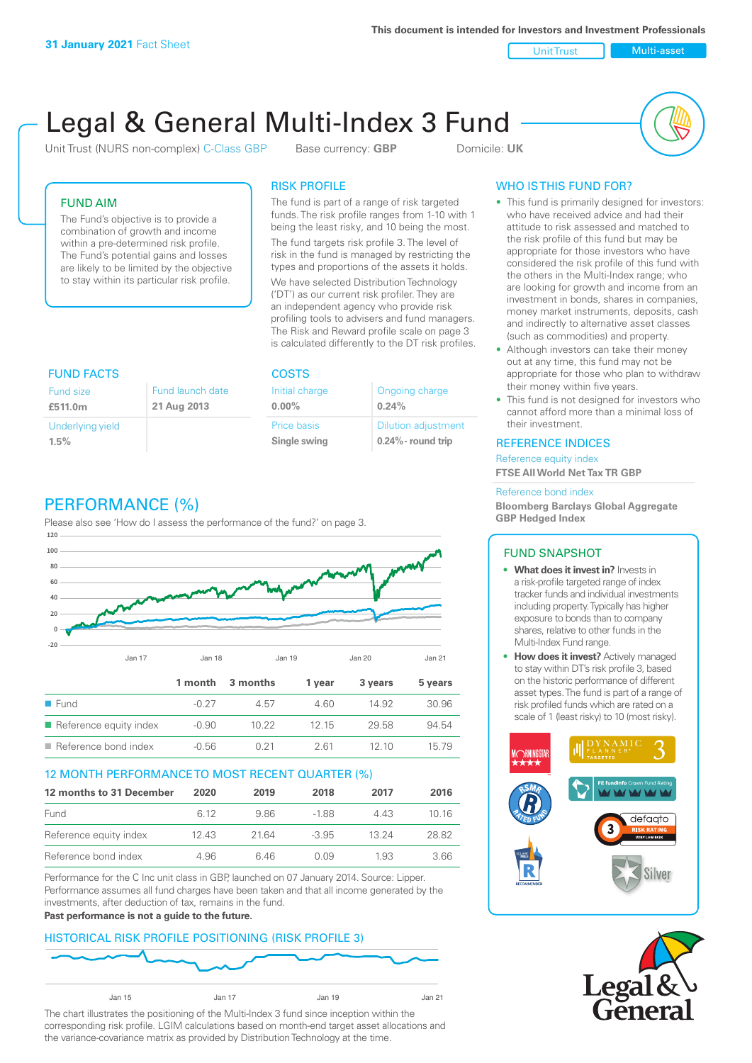**This document is intended for Investors and Investment Professionals**

Unit Trust Nulti-asset

# Legal & General Multi-Index 3 Fund

Unit Trust (NURS non-complex) C-Class GBP Base currency: **GBP** Domicile: UK



### FUND AIM

The Fund's objective is to provide a combination of growth and income within a pre-determined risk profile. The Fund's potential gains and losses are likely to be limited by the objective to stay within its particular risk profile.

### RISK PROFILE

The fund is part of a range of risk targeted funds. The risk profile ranges from 1-10 with 1 being the least risky, and 10 being the most.

The fund targets risk profile 3. The level of risk in the fund is managed by restricting the types and proportions of the assets it holds. We have selected Distribution Technology ('DT') as our current risk profiler. They are an independent agency who provide risk profiling tools to advisers and fund managers. The Risk and Reward profile scale on page 3 is calculated differently to the DT risk profiles.

| <b>FUND FACTS</b> |                  | <b>COSTS</b>   |                            |  |
|-------------------|------------------|----------------|----------------------------|--|
| <b>Fund size</b>  | Fund launch date | Initial charge | Ongoing charge             |  |
| £511.0m           | 21 Aug 2013      | $0.00\%$       | 0.24%                      |  |
| Underlying yield  |                  | Price basis    | <b>Dilution adjustment</b> |  |
| 1.5%              |                  | Single swing   | $0.24\%$ - round trip      |  |

# PERFORMANCE (%)

Please also see 'How do I assess the performance of the fund?' on page 3.



### 12 MONTH PERFORMANCE TO MOST RECENT QUARTER (%)

| 12 months to 31 December | 2020 | 2019  | 2018    | 2017  | 2016  |
|--------------------------|------|-------|---------|-------|-------|
| Fund                     | 6.12 | 986   | -188    | 4 4 3 | 10 16 |
| Reference equity index   | 1243 | 21.64 | $-3.95$ | 13 24 | 28.82 |
| Reference bond index     | 4.96 | 646   | N N9    | 1.93  | 3.66  |

Performance for the C Inc unit class in GBP, launched on 07 January 2014. Source: Lipper. Performance assumes all fund charges have been taken and that all income generated by the investments, after deduction of tax, remains in the fund.

### **Past performance is not a guide to the future.**

# HISTORICAL RISK PROFILE POSITIONING (RISK PROFILE 3)



The chart illustrates the positioning of the Multi-Index 3 fund since inception within the corresponding risk profile. LGIM calculations based on month-end target asset allocations and the variance-covariance matrix as provided by Distribution Technology at the time.

# WHO IS THIS FUND FOR?

- This fund is primarily designed for investors: who have received advice and had their attitude to risk assessed and matched to the risk profile of this fund but may be appropriate for those investors who have considered the risk profile of this fund with the others in the Multi-Index range; who are looking for growth and income from an investment in bonds, shares in companies, money market instruments, deposits, cash and indirectly to alternative asset classes (such as commodities) and property.
- Although investors can take their money out at any time, this fund may not be appropriate for those who plan to withdraw their money within five years.
- This fund is not designed for investors who cannot afford more than a minimal loss of their investment.

### REFERENCE INDICES

Reference equity index **FTSE All World Net Tax TR GBP**

#### Reference bond index

**Bloomberg Barclays Global Aggregate GBP Hedged Index**

### FUND SNAPSHOT

- **• What does it invest in?** Invests in a risk-profile targeted range of index tracker funds and individual investments including property. Typically has higher exposure to bonds than to company shares, relative to other funds in the Multi-Index Fund range.
- **• How does it invest?** Actively managed to stay within DT's risk profile 3, based on the historic performance of different asset types. The fund is part of a range of risk profiled funds which are rated on a scale of 1 (least risky) to 10 (most risky).



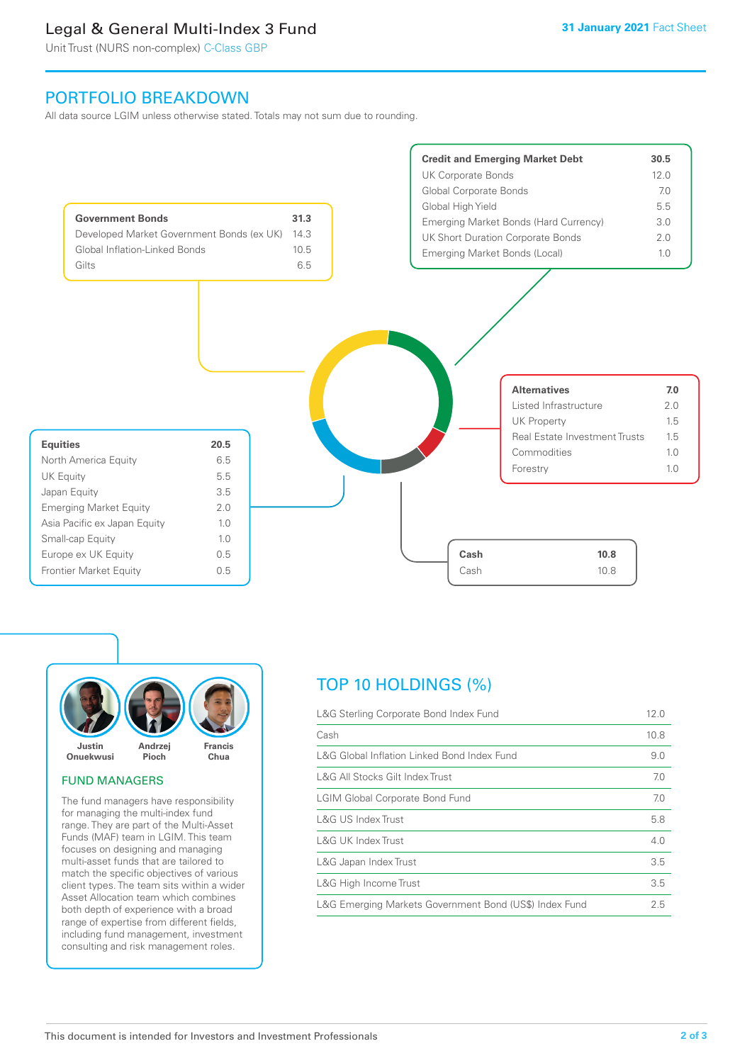# Legal & General Multi-Index 3 Fund

Unit Trust (NURS non-complex) C-Class GBP

# PORTFOLIO BREAKDOWN

All data source LGIM unless otherwise stated. Totals may not sum due to rounding.





### FUND MANAGERS

The fund managers have responsibility for managing the multi-index fund range. They are part of the Multi-Asset Funds (MAF) team in LGIM. This team focuses on designing and managing multi-asset funds that are tailored to match the specific objectives of various client types. The team sits within a wider Asset Allocation team which combines both depth of experience with a broad range of expertise from different fields, including fund management, investment consulting and risk management roles.

# TOP 10 HOLDINGS (%)

| L&G Sterling Corporate Bond Index Fund                 | 12.0 |
|--------------------------------------------------------|------|
| Cash                                                   | 10.8 |
| L&G Global Inflation Linked Bond Index Fund            | 9.0  |
| L&G All Stocks Gilt Index Trust                        | 7.0  |
| <b>LGIM Global Corporate Bond Fund</b>                 | 7.0  |
| L&G US Index Trust                                     | 5.8  |
| <b>L&amp;G UK Index Trust</b>                          | 4.0  |
| L&G Japan Index Trust                                  | 3.5  |
| L&G High Income Trust                                  | 3.5  |
| L&G Emerging Markets Government Bond (US\$) Index Fund | 2.5  |